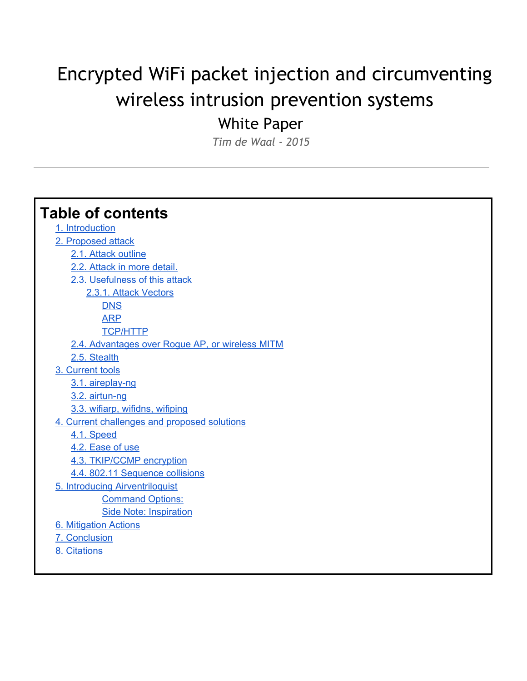# Encrypted WiFi packet injection and circumventing wireless intrusion prevention systems

White Paper

*Tim de Waal - 2015*

# **Table of contents**

1. Introduction 2. [Proposed](#page-3-0) attack 2.1. Attack [outline](#page-3-1) 2.2. [Attack](#page-3-2) in more detail. 2.3. [Usefulness](#page-5-0) of this attack

2.3.1. Attack [Vectors](#page-5-1)

**[DNS](#page-5-2)** 

[ARP](#page-5-3)

[TCP/HTTP](#page-5-4)

- 2.4. [Advantages](#page-6-0) over Rogue AP, or wireless MITM
- 2.5. [Stealth](#page-6-1)
- 3. [Current](#page-7-0) tools
	- 3.1. aireplay-ng
	- 3.2. airtun-ng
	- 3.3. wifiarp, [wifidns,](#page-7-3) wifiping
- 4. Current [challenges](#page-8-0) and proposed solutions
	- 4.1. [Speed](#page-8-1)
	- 4.2. [Ease](#page-8-2) of use
	- 4.3. [TKIP/CCMP](#page-8-3) encryption
	- 4.4. 802.11 [Sequence](#page-8-4) collisions
- 5. Introducing [Airventriloquist](#page-9-0) Command Options:
	- Side Note: Inspiration
- 6. [Mitigation](#page-9-1) Actions
- 7. [Conclusion](#page-10-0)
- 8. [Citations](#page-10-1)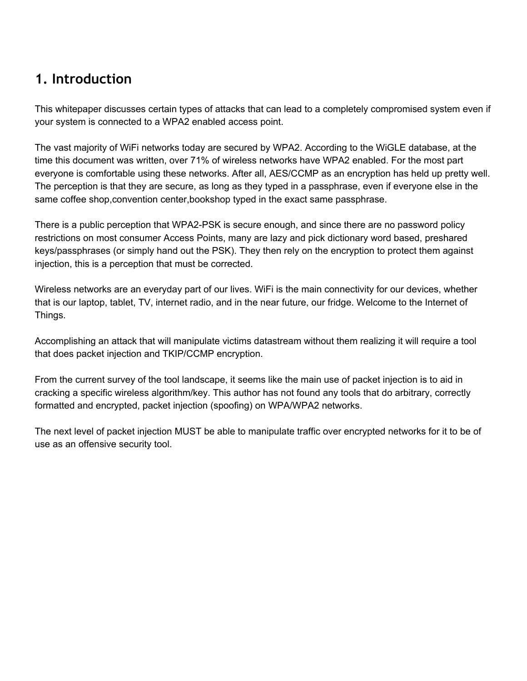## **1. Introduction**

This whitepaper discusses certain types of attacks that can lead to a completely compromised system even if your system is connected to a WPA2 enabled access point.

The vast majority of WiFi networks today are secured by WPA2. According to the WiGLE database, at the time this document was written, over 71% of wireless networks have WPA2 enabled. For the most part everyone is comfortable using these networks. After all, AES/CCMP as an encryption has held up pretty well. The perception is that they are secure, as long as they typed in a passphrase, even if everyone else in the same coffee shop,convention center,bookshop typed in the exact same passphrase.

There is a public perception that WPA2-PSK is secure enough, and since there are no password policy restrictions on most consumer Access Points, many are lazy and pick dictionary word based, preshared keys/passphrases (or simply hand out the PSK). They then rely on the encryption to protect them against injection, this is a perception that must be corrected.

Wireless networks are an everyday part of our lives. WiFi is the main connectivity for our devices, whether that is our laptop, tablet, TV, internet radio, and in the near future, our fridge. Welcome to the Internet of Things.

Accomplishing an attack that will manipulate victims datastream without them realizing it will require a tool that does packet injection and TKIP/CCMP encryption.

From the current survey of the tool landscape, it seems like the main use of packet injection is to aid in cracking a specific wireless algorithm/key. This author has not found any tools that do arbitrary, correctly formatted and encrypted, packet injection (spoofing) on WPA/WPA2 networks.

The next level of packet injection MUST be able to manipulate traffic over encrypted networks for it to be of use as an offensive security tool.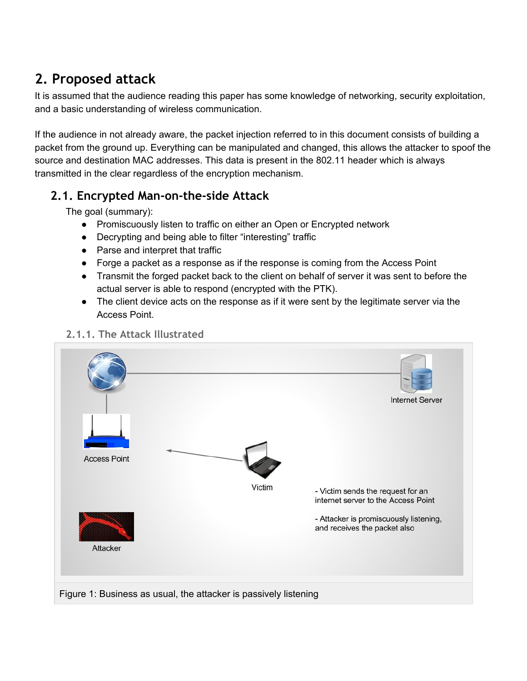# <span id="page-3-0"></span>**2. Proposed attack**

It is assumed that the audience reading this paper has some knowledge of networking, security exploitation, and a basic understanding of wireless communication.

If the audience in not already aware, the packet injection referred to in this document consists of building a packet from the ground up. Everything can be manipulated and changed, this allows the attacker to spoof the source and destination MAC addresses. This data is present in the 802.11 header which is always transmitted in the clear regardless of the encryption mechanism.

## <span id="page-3-1"></span>**2.1. Encrypted Man-on-the-side Attack**

The goal (summary):

- Promiscuously listen to traffic on either an Open or Encrypted network
- Decrypting and being able to filter "interesting" traffic
- Parse and interpret that traffic
- Forge a packet as a response as if the response is coming from the Access Point
- Transmit the forged packet back to the client on behalf of server it was sent to before the actual server is able to respond (encrypted with the PTK).
- The client device acts on the response as if it were sent by the legitimate server via the Access Point.

<span id="page-3-2"></span>

#### **2.1.1. The Attack Illustrated**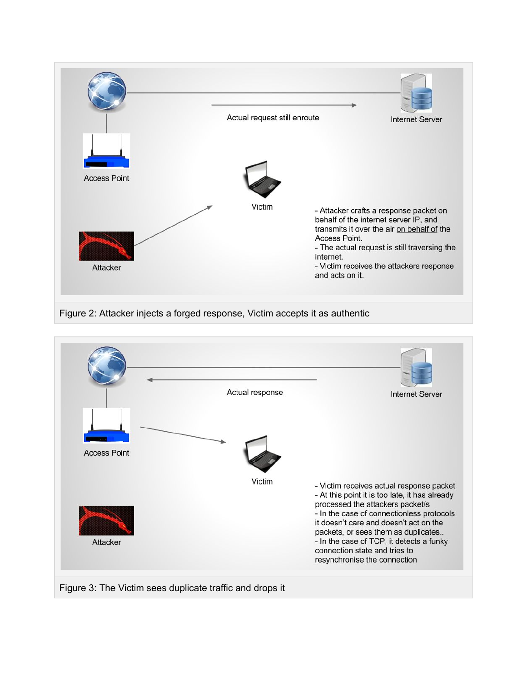





Figure 3: The Victim sees duplicate traffic and drops it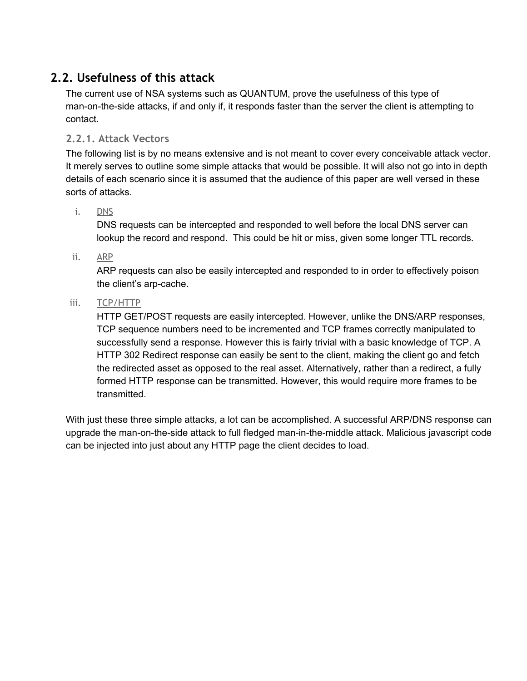## <span id="page-5-0"></span>**2.2. Usefulness of this attack**

The current use of NSA systems such as QUANTUM, prove the usefulness of this type of man-on-the-side attacks, if and only if, it responds faster than the server the client is attempting to contact.

#### <span id="page-5-1"></span>**2.2.1. Attack Vectors**

The following list is by no means extensive and is not meant to cover every conceivable attack vector. It merely serves to outline some simple attacks that would be possible. It will also not go into in depth details of each scenario since it is assumed that the audience of this paper are well versed in these sorts of attacks.

#### <span id="page-5-2"></span>i. DNS

DNS requests can be intercepted and responded to well before the local DNS server can lookup the record and respond. This could be hit or miss, given some longer TTL records.

#### <span id="page-5-3"></span>ii. ARP

ARP requests can also be easily intercepted and responded to in order to effectively poison the client's arp-cache.

#### <span id="page-5-4"></span>iii. TCP/HTTP

HTTP GET/POST requests are easily intercepted. However, unlike the DNS/ARP responses, TCP sequence numbers need to be incremented and TCP frames correctly manipulated to successfully send a response. However this is fairly trivial with a basic knowledge of TCP. A HTTP 302 Redirect response can easily be sent to the client, making the client go and fetch the redirected asset as opposed to the real asset. Alternatively, rather than a redirect, a fully formed HTTP response can be transmitted. However, this would require more frames to be transmitted.

With just these three simple attacks, a lot can be accomplished. A successful ARP/DNS response can upgrade the man-on-the-side attack to full fledged man-in-the-middle attack. Malicious javascript code can be injected into just about any HTTP page the client decides to load.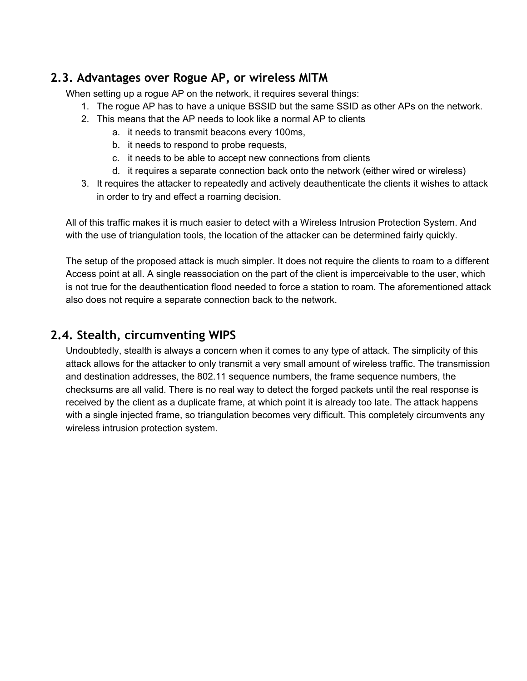### <span id="page-6-0"></span>**2.3. Advantages over Rogue AP, or wireless MITM**

When setting up a rogue AP on the network, it requires several things:

- 1. The rogue AP has to have a unique BSSID but the same SSID as other APs on the network.
- 2. This means that the AP needs to look like a normal AP to clients
	- a. it needs to transmit beacons every 100ms,
	- b. it needs to respond to probe requests,
	- c. it needs to be able to accept new connections from clients
	- d. it requires a separate connection back onto the network (either wired or wireless)
- 3. It requires the attacker to repeatedly and actively deauthenticate the clients it wishes to attack in order to try and effect a roaming decision.

All of this traffic makes it is much easier to detect with a Wireless Intrusion Protection System. And with the use of triangulation tools, the location of the attacker can be determined fairly quickly.

The setup of the proposed attack is much simpler. It does not require the clients to roam to a different Access point at all. A single reassociation on the part of the client is imperceivable to the user, which is not true for the deauthentication flood needed to force a station to roam. The aforementioned attack also does not require a separate connection back to the network.

#### <span id="page-6-1"></span>**2.4. Stealth, circumventing WIPS**

Undoubtedly, stealth is always a concern when it comes to any type of attack. The simplicity of this attack allows for the attacker to only transmit a very small amount of wireless traffic. The transmission and destination addresses, the 802.11 sequence numbers, the frame sequence numbers, the checksums are all valid. There is no real way to detect the forged packets until the real response is received by the client as a duplicate frame, at which point it is already too late. The attack happens with a single injected frame, so triangulation becomes very difficult. This completely circumvents any wireless intrusion protection system.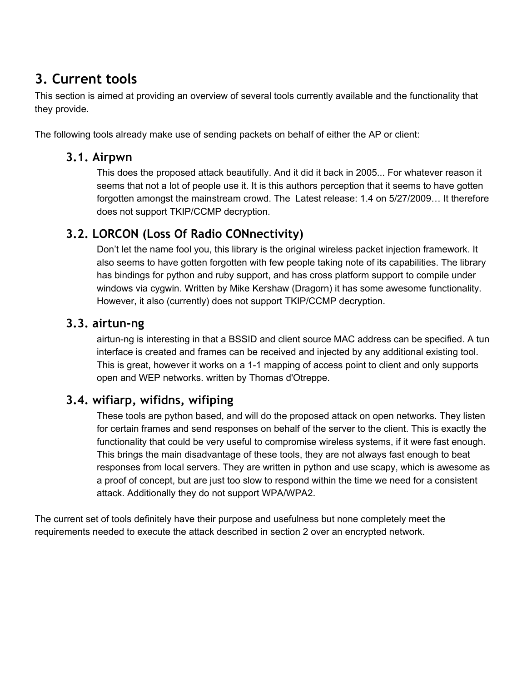## <span id="page-7-0"></span>**3. Current tools**

This section is aimed at providing an overview of several tools currently available and the functionality that they provide.

The following tools already make use of sending packets on behalf of either the AP or client:

#### **3.1. Airpwn**

This does the proposed attack beautifully. And it did it back in 2005... For whatever reason it seems that not a lot of people use it. It is this authors perception that it seems to have gotten forgotten amongst the mainstream crowd. The Latest release: 1.4 on 5/27/2009… It therefore does not support TKIP/CCMP decryption.

## <span id="page-7-1"></span>**3.2. LORCON (Loss Of Radio CONnectivity)**

Don't let the name fool you, this library is the original wireless packet injection framework. It also seems to have gotten forgotten with few people taking note of its capabilities. The library has bindings for python and ruby support, and has cross platform support to compile under windows via cygwin. Written by Mike Kershaw (Dragorn) it has some awesome functionality. However, it also (currently) does not support TKIP/CCMP decryption.

#### <span id="page-7-2"></span>**3.3. airtun-ng**

airtun-ng is interesting in that a BSSID and client source MAC address can be specified. A tun interface is created and frames can be received and injected by any additional existing tool. This is great, however it works on a 1-1 mapping of access point to client and only supports open and WEP networks. written by Thomas d'Otreppe.

#### <span id="page-7-3"></span>**3.4. wifiarp, wifidns, wifiping**

These tools are python based, and will do the proposed attack on open networks. They listen for certain frames and send responses on behalf of the server to the client. This is exactly the functionality that could be very useful to compromise wireless systems, if it were fast enough. This brings the main disadvantage of these tools, they are not always fast enough to beat responses from local servers. They are written in python and use scapy, which is awesome as a proof of concept, but are just too slow to respond within the time we need for a consistent attack. Additionally they do not support WPA/WPA2.

The current set of tools definitely have their purpose and usefulness but none completely meet the requirements needed to execute the attack described in section 2 over an encrypted network.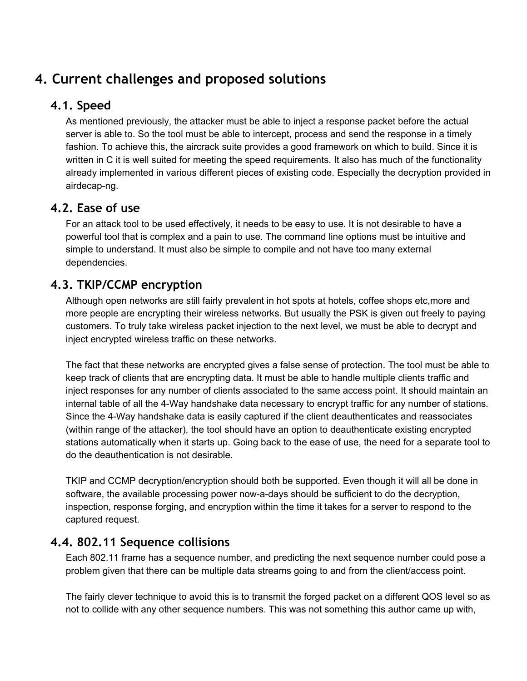## <span id="page-8-0"></span>**4. Current challenges and proposed solutions**

### <span id="page-8-1"></span>**4.1. Speed**

As mentioned previously, the attacker must be able to inject a response packet before the actual server is able to. So the tool must be able to intercept, process and send the response in a timely fashion. To achieve this, the aircrack suite provides a good framework on which to build. Since it is written in C it is well suited for meeting the speed requirements. It also has much of the functionality already implemented in various different pieces of existing code. Especially the decryption provided in airdecap-ng.

### <span id="page-8-2"></span>**4.2. Ease of use**

For an attack tool to be used effectively, it needs to be easy to use. It is not desirable to have a powerful tool that is complex and a pain to use. The command line options must be intuitive and simple to understand. It must also be simple to compile and not have too many external dependencies.

### <span id="page-8-3"></span>**4.3. TKIP/CCMP encryption**

Although open networks are still fairly prevalent in hot spots at hotels, coffee shops etc,more and more people are encrypting their wireless networks. But usually the PSK is given out freely to paying customers. To truly take wireless packet injection to the next level, we must be able to decrypt and inject encrypted wireless traffic on these networks.

The fact that these networks are encrypted gives a false sense of protection. The tool must be able to keep track of clients that are encrypting data. It must be able to handle multiple clients traffic and inject responses for any number of clients associated to the same access point. It should maintain an internal table of all the 4-Way handshake data necessary to encrypt traffic for any number of stations. Since the 4-Way handshake data is easily captured if the client deauthenticates and reassociates (within range of the attacker), the tool should have an option to deauthenticate existing encrypted stations automatically when it starts up. Going back to the ease of use, the need for a separate tool to do the deauthentication is not desirable.

TKIP and CCMP decryption/encryption should both be supported. Even though it will all be done in software, the available processing power now-a-days should be sufficient to do the decryption, inspection, response forging, and encryption within the time it takes for a server to respond to the captured request.

#### <span id="page-8-4"></span>**4.4. 802.11 Sequence collisions**

Each 802.11 frame has a sequence number, and predicting the next sequence number could pose a problem given that there can be multiple data streams going to and from the client/access point.

The fairly clever technique to avoid this is to transmit the forged packet on a different QOS level so as not to collide with any other sequence numbers. This was not something this author came up with,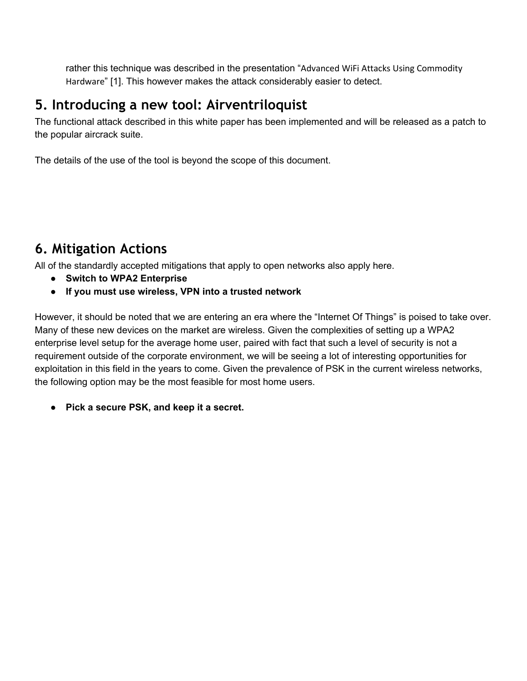rather this technique was described in the presentation "Advanced WiFi Attacks Using Commodity Hardware" [1]. This however makes the attack considerably easier to detect.

## <span id="page-9-0"></span>**5. Introducing a new tool: Airventriloquist**

The functional attack described in this white paper has been implemented and will be released as a patch to the popular aircrack suite.

The details of the use of the tool is beyond the scope of this document.

## <span id="page-9-1"></span>**6. Mitigation Actions**

All of the standardly accepted mitigations that apply to open networks also apply here.

- **● Switch to WPA2 Enterprise**
- **● If you must use wireless, VPN into a trusted network**

However, it should be noted that we are entering an era where the "Internet Of Things" is poised to take over. Many of these new devices on the market are wireless. Given the complexities of setting up a WPA2 enterprise level setup for the average home user, paired with fact that such a level of security is not a requirement outside of the corporate environment, we will be seeing a lot of interesting opportunities for exploitation in this field in the years to come. Given the prevalence of PSK in the current wireless networks, the following option may be the most feasible for most home users.

**● Pick a secure PSK, and keep it a secret.**